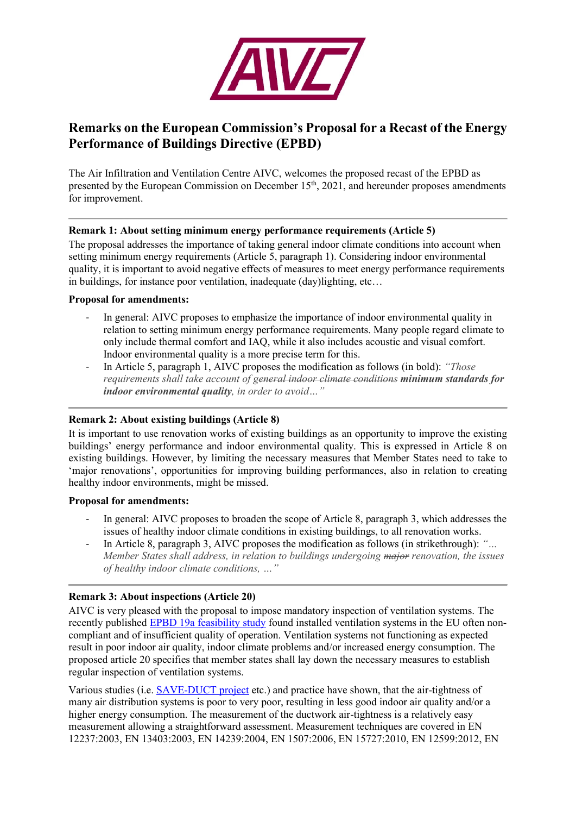

# **Remarks on the European Commission's Proposal for a Recast of the Energy Performance of Buildings Directive (EPBD)**

The Air Infiltration and Ventilation Centre AIVC, welcomes the proposed recast of the EPBD as presented by the European Commission on December 15<sup>th</sup>, 2021, and hereunder proposes amendments for improvement.

## **Remark 1: About setting minimum energy performance requirements (Article 5)**

The proposal addresses the importance of taking general indoor climate conditions into account when setting minimum energy requirements (Article 5, paragraph 1). Considering indoor environmental quality, it is important to avoid negative effects of measures to meet energy performance requirements in buildings, for instance poor ventilation, inadequate (day)lighting, etc…

#### **Proposal for amendments:**

- In general: AIVC proposes to emphasize the importance of indoor environmental quality in relation to setting minimum energy performance requirements. Many people regard climate to only include thermal comfort and IAQ, while it also includes acoustic and visual comfort. Indoor environmental quality is a more precise term for this.
- In Article 5, paragraph 1, AIVC proposes the modification as follows (in bold): *"Those requirements shall take account of general indoor climate conditions minimum standards for indoor environmental quality, in order to avoid…"*

# **Remark 2: About existing buildings (Article 8)**

It is important to use renovation works of existing buildings as an opportunity to improve the existing buildings' energy performance and indoor environmental quality. This is expressed in Article 8 on existing buildings. However, by limiting the necessary measures that Member States need to take to 'major renovations', opportunities for improving building performances, also in relation to creating healthy indoor environments, might be missed.

#### **Proposal for amendments:**

- In general: AIVC proposes to broaden the scope of Article 8, paragraph 3, which addresses the issues of healthy indoor climate conditions in existing buildings, to all renovation works.
- In Article 8, paragraph 3, AIVC proposes the modification as follows (in strikethrough): *"… Member States shall address, in relation to buildings undergoing major renovation, the issues of healthy indoor climate conditions, …"*

# **Remark 3: About inspections (Article 20)**

AIVC is very pleased with the proposal to impose mandatory inspection of ventilation systems. The recently published [EPBD 19a feasibility study](https://op.europa.eu/en/publication-detail/-/publication/0bdd8b5e-b042-11ea-bb7a-01aa75ed71a1/language-en/format-PDF/source-search) found installed ventilation systems in the EU often noncompliant and of insufficient quality of operation. Ventilation systems not functioning as expected result in poor indoor air quality, indoor climate problems and/or increased energy consumption. The proposed article 20 specifies that member states shall lay down the necessary measures to establish regular inspection of ventilation systems.

Various studies (i.e. [SAVE-DUCT project](https://www.aivc.org/sites/default/files/members_area/medias/pdf/Guides/GU04%20IMPROVING%20DUCTWORK.pdf) etc.) and practice have shown, that the air-tightness of many air distribution systems is poor to very poor, resulting in less good indoor air quality and/or a higher energy consumption. The measurement of the ductwork air-tightness is a relatively easy measurement allowing a straightforward assessment. Measurement techniques are covered in EN 12237:2003, EN 13403:2003, EN 14239:2004, EN 1507:2006, EN 15727:2010, EN 12599:2012, EN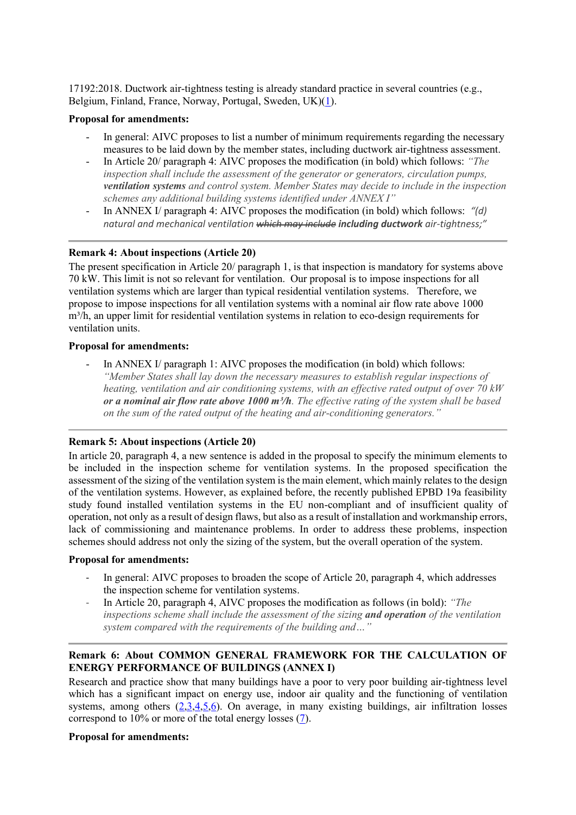17192:2018. Ductwork air-tightness testing is already standard practice in several countries (e.g., Belgium, Finland, France, Norway, Portugal, Sweden, UK)[\(1\)](https://www.aivc.org/resource/vip-40-ductwork-airtightness-review?volume=33977).

#### **Proposal for amendments:**

- In general: AIVC proposes to list a number of minimum requirements regarding the necessary measures to be laid down by the member states, including ductwork air-tightness assessment.
- In Article 20/ paragraph 4: AIVC proposes the modification (in bold) which follows: *"The inspection shall include the assessment of the generator or generators, circulation pumps, ventilation systems and control system. Member States may decide to include in the inspection schemes any additional building systems identified under ANNEX I"*
- In ANNEX I/ paragraph 4: AIVC proposes the modification (in bold) which follows: *"(d) natural and mechanical ventilation which may include including ductwork air-tightness;"*

# **Remark 4: About inspections (Article 20)**

The present specification in Article 20/ paragraph 1, is that inspection is mandatory for systems above 70 kW. This limit is not so relevant for ventilation. Our proposal is to impose inspections for all ventilation systems which are larger than typical residential ventilation systems. Therefore, we propose to impose inspections for all ventilation systems with a nominal air flow rate above 1000  $m<sup>3</sup>/h$ , an upper limit for residential ventilation systems in relation to eco-design requirements for ventilation units.

## **Proposal for amendments:**

In ANNEX I/ paragraph 1: AIVC proposes the modification (in bold) which follows: *"Member States shall lay down the necessary measures to establish regular inspections of heating, ventilation and air conditioning systems, with an effective rated output of over 70 kW or a nominal air flow rate above 1000 m³/h. The effective rating of the system shall be based on the sum of the rated output of the heating and air-conditioning generators."*

# **Remark 5: About inspections (Article 20)**

In article 20, paragraph 4, a new sentence is added in the proposal to specify the minimum elements to be included in the inspection scheme for ventilation systems. In the proposed specification the assessment of the sizing of the ventilation system is the main element, which mainly relates to the design of the ventilation systems. However, as explained before, the recently published EPBD 19a feasibility study found installed ventilation systems in the EU non-compliant and of insufficient quality of operation, not only as a result of design flaws, but also as a result of installation and workmanship errors, lack of commissioning and maintenance problems. In order to address these problems, inspection schemes should address not only the sizing of the system, but the overall operation of the system.

#### **Proposal for amendments:**

- In general: AIVC proposes to broaden the scope of Article 20, paragraph 4, which addresses the inspection scheme for ventilation systems.
- In Article 20, paragraph 4, AIVC proposes the modification as follows (in bold): *"The inspections scheme shall include the assessment of the sizing and operation of the ventilation system compared with the requirements of the building and…"*

# **Remark 6: About COMMON GENERAL FRAMEWORK FOR THE CALCULATION OF ENERGY PERFORMANCE OF BUILDINGS (ANNEX I)**

Research and practice show that many buildings have a poor to very poor building air-tightness level which has a significant impact on energy use, indoor air quality and the functioning of ventilation systems, among others  $(2,3,4,5,6)$  $(2,3,4,5,6)$  $(2,3,4,5,6)$  $(2,3,4,5,6)$  $(2,3,4,5,6)$ . On average, in many existing buildings, air infiltration losses correspond to 10% or more of the total energy losses [\(7\)](https://www.aivc.org/resource/vip-37-impact-energy-policies-building-and-ductwork-airtightness?volume=33977).

### **Proposal for amendments:**